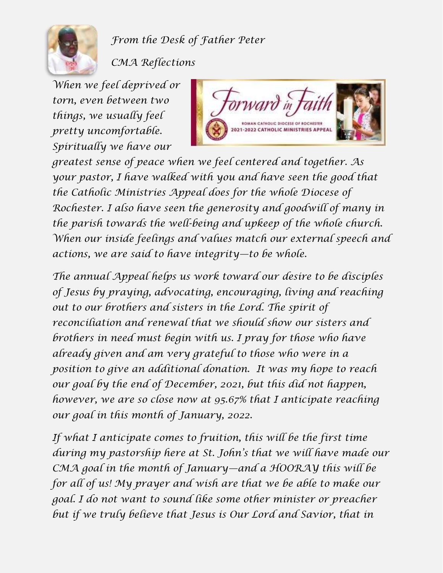

*From the Desk of Father Peter*

*CMA Reflections*

*When we feel deprived or torn, even between two things, we usually feel pretty uncomfortable. Spiritually we have our* 



*greatest sense of peace when we feel centered and together. As your pastor, I have walked with you and have seen the good that the Catholic Ministries Appeal does for the whole Diocese of Rochester. I also have seen the generosity and goodwill of many in the parish towards the well-being and upkeep of the whole church. When our inside feelings and values match our external speech and actions, we are said to have integrity—to be whole.*

*The annual Appeal helps us work toward our desire to be disciples of Jesus by praying, advocating, encouraging, living and reaching out to our brothers and sisters in the Lord. The spirit of reconciliation and renewal that we should show our sisters and brothers in need must begin with us. I pray for those who have already given and am very grateful to those who were in a position to give an additional donation. It was my hope to reach our goal by the end of December, 2021, but this did not happen, however, we are so close now at 95.67% that I anticipate reaching our goal in this month of January, 2022.*

*If what I anticipate comes to fruition, this will be the first time during my pastorship here at St. John's that we will have made our CMA goal in the month of January—and a HOORAY this will be for all of us! My prayer and wish are that we be able to make our goal. I do not want to sound like some other minister or preacher*  but if we truly believe that Jesus is Our Lord and Savior, that in